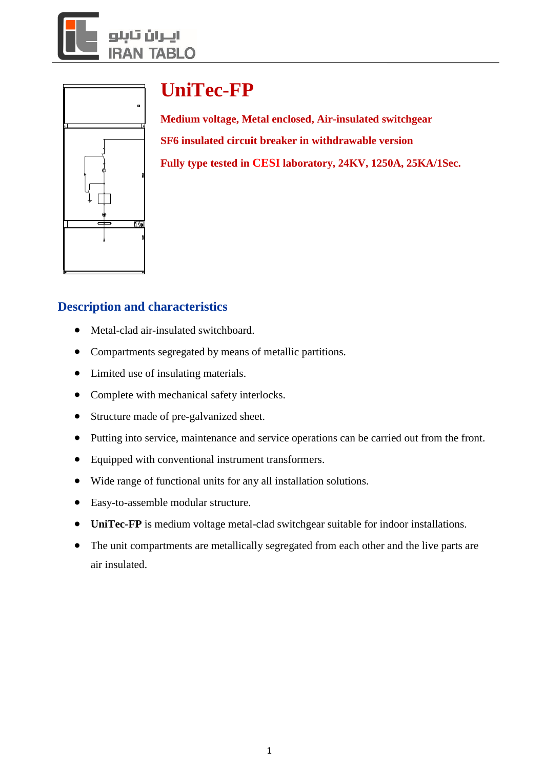



# **UniTec-FP**

**Medium voltage, Metal enclosed, Air-insulated switchgear SF6 insulated circuit breaker in withdrawable version Fully type tested in CESI laboratory, 24KV, 1250A, 25KA/1Sec.**

## **Description and characteristics**

- Metal-clad air-insulated switchboard.
- Compartments segregated by means of metallic partitions.
- Limited use of insulating materials.
- Complete with mechanical safety interlocks.
- Structure made of pre-galvanized sheet.
- Putting into service, maintenance and service operations can be carried out from the front.
- Equipped with conventional instrument transformers.
- Wide range of functional units for any all installation solutions.
- Easy-to-assemble modular structure.
- **UniTec-FP** is medium voltage metal-clad switchgear suitable for indoor installations.
- The unit compartments are metallically segregated from each other and the live parts are air insulated.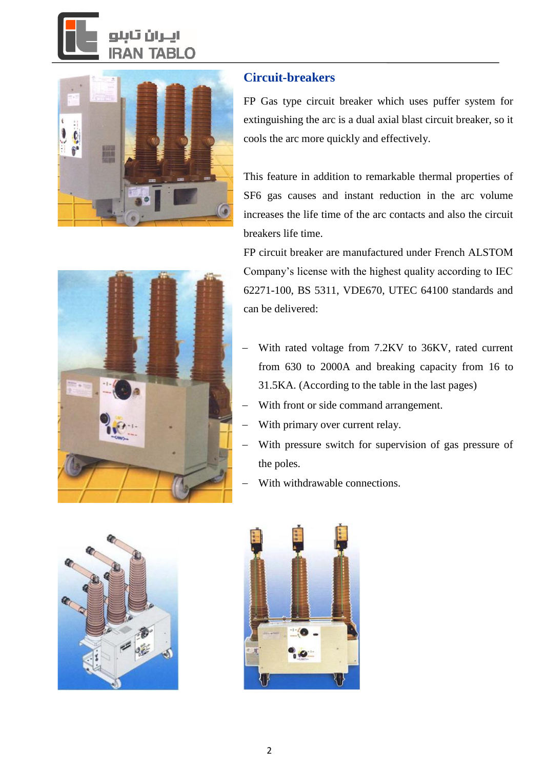# TABLO



### **Circuit-breakers**

FP Gas type circuit breaker which uses puffer system for extinguishing the arc is a dual axial blast circuit breaker, so it cools the arc more quickly and effectively.

This feature in addition to remarkable thermal properties of SF6 gas causes and instant reduction in the arc volume increases the life time of the arc contacts and also the circuit breakers life time.

FP circuit breaker are manufactured under French ALSTOM Company's license with the highest quality according to IEC 62271-100, BS 5311, VDE670, UTEC 64100 standards and can be delivered:

- With rated voltage from 7.2KV to 36KV, rated current from 630 to 2000A and breaking capacity from 16 to 31.5KA. (According to the table in the last pages)
- With front or side command arrangement.
- With primary over current relay.
- With pressure switch for supervision of gas pressure of the poles.
- With withdrawable connections.



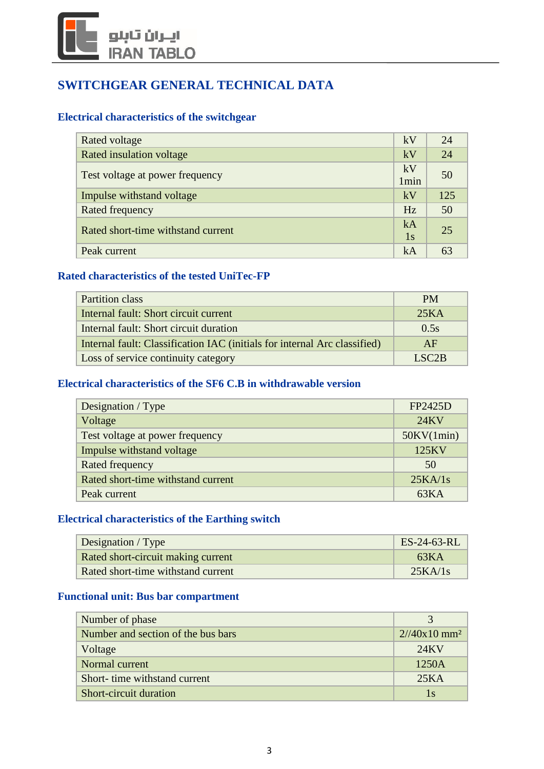# أيتران تأبلو **ABLO**

## **SWITCHGEAR GENERAL TECHNICAL DATA**

#### **Electrical characteristics of the switchgear**

| Rated voltage                      | kV               | 24  |
|------------------------------------|------------------|-----|
| Rated insulation voltage           | kV               | 24  |
| Test voltage at power frequency    | kV               | 50  |
|                                    | 1 <sub>min</sub> |     |
| Impulse withstand voltage          | kV               | 125 |
| Rated frequency                    | Hz               | 50  |
| Rated short-time withstand current | kA               | 25  |
|                                    | 1s               |     |
| Peak current                       | kA               | 63  |

#### **Rated characteristics of the tested UniTec-FP**

| Partition class                                                           | <b>PM</b>             |
|---------------------------------------------------------------------------|-----------------------|
| Internal fault: Short circuit current                                     | 25KA                  |
| Internal fault: Short circuit duration                                    | 0.5s                  |
| Internal fault: Classification IAC (initials for internal Arc classified) | AF                    |
| Loss of service continuity category                                       | $I$ SC <sub>2</sub> R |

#### **Electrical characteristics of the SF6 C.B in withdrawable version**

| Designation / Type                 | FP2425D    |
|------------------------------------|------------|
| Voltage                            | 24KV       |
| Test voltage at power frequency    | 50KV(1min) |
| Impulse withstand voltage          | 125KV      |
| Rated frequency                    | 50         |
| Rated short-time withstand current | 25KA/1s    |
| Peak current                       | 63KA       |

#### **Electrical characteristics of the Earthing switch**

| <b>Designation</b> / Type          | $ES-24-63-RL$ |
|------------------------------------|---------------|
| Rated short-circuit making current | 63KA          |
| Rated short-time withstand current | 25KA/1s       |

#### **Functional unit: Bus bar compartment**

| Number of phase                    |                             |
|------------------------------------|-----------------------------|
| Number and section of the bus bars | $2/(40x10)$ mm <sup>2</sup> |
| Voltage                            | 24KV                        |
| Normal current                     | 1250A                       |
| Short- time withstand current      | 25KA                        |
| Short-circuit duration             | 1s                          |